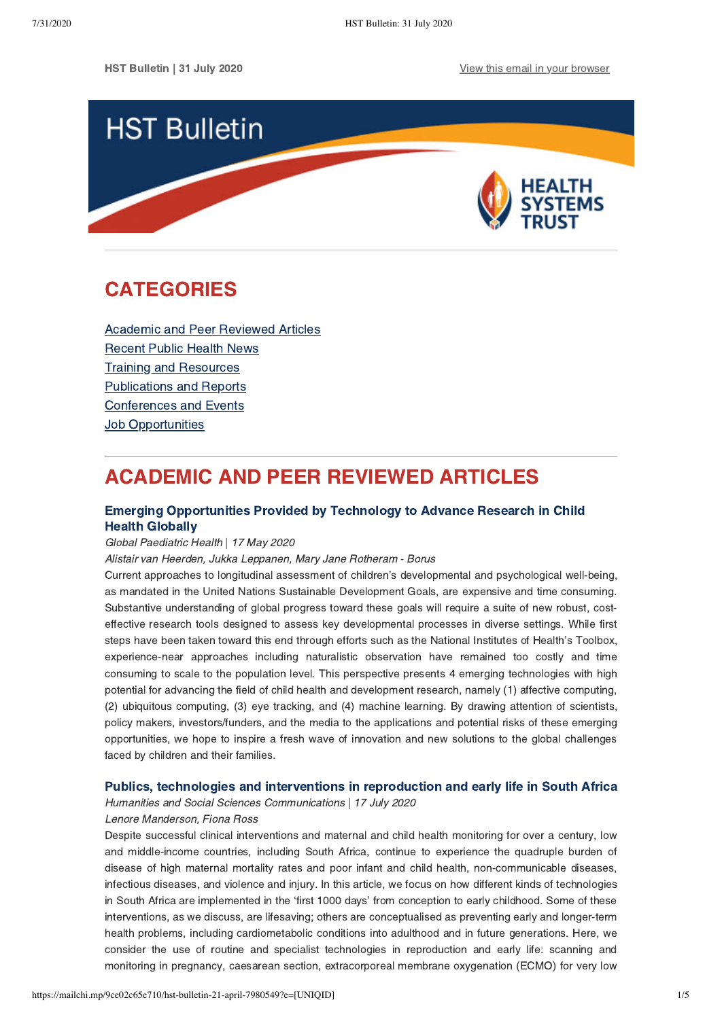HST Bulletin | 31 July 2020 **[View this email in your browser](https://mailchi.mp/9ce02c65e710/hst-bulletin-21-april-7980549?e=[UNIQID])** 



# <span id="page-0-1"></span>CATEGORIES

[Academic and Peer Reviewed Articles](#page-0-0) [Recent Public Health News](#page-1-0) Training and Resources [Publications and Reports](#page-2-0) [Conferences and Events](#page-3-0) **Job Opportunities** 

# <span id="page-0-0"></span>ACADEMIC AND PEER REVIEWED ARTICLES

## [Emerging Opportunities Provided by Technology to Advance Research in Child](https://journals.sagepub.com/doi/pdf/10.1177/2333794X20917570) Health Globally

### Global Paediatric Health | 17 May 2020

Alistair van Heerden, Jukka Leppanen, Mary Jane Rotheram - Borus

Current approaches to longitudinal assessment of children's developmental and psychological well-being, as mandated in the United Nations Sustainable Development Goals, are expensive and time consuming. Substantive understanding of global progress toward these goals will require a suite of new robust, costeffective research tools designed to assess key developmental processes in diverse settings. While first steps have been taken toward this end through efforts such as the National Institutes of Health's Toolbox, experience-near approaches including naturalistic observation have remained too costly and time consuming to scale to the population level. This perspective presents 4 emerging technologies with high potential for advancing the field of child health and development research, namely (1) affective computing, (2) ubiquitous computing, (3) eye tracking, and (4) machine learning. By drawing attention of scientists, policy makers, investors/funders, and the media to the applications and potential risks of these emerging opportunities, we hope to inspire a fresh wave of innovation and new solutions to the global challenges faced by children and their families.

### [Publics, technologies and interventions in reproduction and early life in South Africa](https://www.nature.com/articles/s41599-020-0531-3)

Humanities and Social Sciences Communications | 17 July 2020 Lenore Manderson, Fiona Ross

Despite successful clinical interventions and maternal and child health monitoring for over a century, low and middle-income countries, including South Africa, continue to experience the quadruple burden of disease of high maternal mortality rates and poor infant and child health, non-communicable diseases, infectious diseases, and violence and injury. In this article, we focus on how different kinds of technologies in South Africa are implemented in the 'first 1000 days' from conception to early childhood. Some of these interventions, as we discuss, are lifesaving; others are conceptualised as preventing early and longer-term health problems, including cardiometabolic conditions into adulthood and in future generations. Here, we consider the use of routine and specialist technologies in reproduction and early life: scanning and monitoring in pregnancy, caesarean section, extracorporeal membrane oxygenation (ECMO) for very low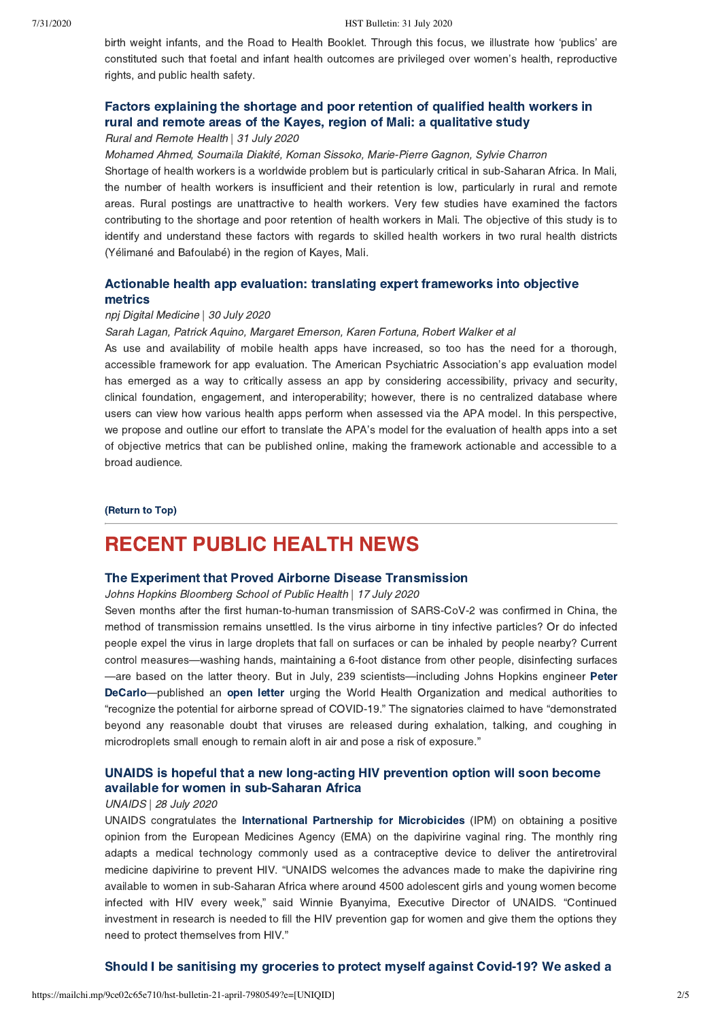birth weight infants, and the Road to Health Booklet. Through this focus, we illustrate how 'publics' are constituted such that foetal and infant health outcomes are privileged over women's health, reproductive rights, and public health safety.

## [Factors explaining the shortage and poor retention of qualified health workers in](https://www.rrh.org.au/journal/article/5772) rural and remote areas of the Kayes, region of Mali: a qualitative study

Rural and Remote Health | 31 July 2020

#### Mohamed Ahmed, Souma*ϊ*la Diakité, Koman Sissoko, Marie-Pierre Gagnon, Sylvie Charron

Shortage of health workers is a worldwide problem but is particularly critical in sub-Saharan Africa. In Mali, the number of health workers is insufficient and their retention is low, particularly in rural and remote areas. Rural postings are unattractive to health workers. Very few studies have examined the factors contributing to the shortage and poor retention of health workers in Mali. The objective of this study is to identify and understand these factors with regards to skilled health workers in two rural health districts (Yélimané and Bafoulabé) in the region of Kayes, Mali.

## [Actionable health app evaluation: translating expert frameworks into objective](https://www.nature.com/articles/s41746-020-00312-4) metrics

#### npj Digital Medicine | 30 July 2020

#### Sarah Lagan, Patrick Aquino, Margaret Emerson, Karen Fortuna, Robert Walker et al

As use and availability of mobile health apps have increased, so too has the need for a thorough, accessible framework for app evaluation. The American Psychiatric Association's app evaluation model has emerged as a way to critically assess an app by considering accessibility, privacy and security, clinical foundation, engagement, and interoperability; however, there is no centralized database where users can view how various health apps perform when assessed via the APA model. In this perspective, we propose and outline our effort to translate the APA's model for the evaluation of health apps into a set of objective metrics that can be published online, making the framework actionable and accessible to a broad audience.

#### [\(Return to Top\)](#page-0-1)

## <span id="page-1-0"></span>RECENT PUBLIC HEALTH NEWS

#### [The Experiment that Proved Airborne Disease Transmission](https://www.jhsph.edu/covid-19/articles/the-experiment-that-proved-airborne-disease-transmission.html)

Johns Hopkins Bloomberg School of Public Health | 17 July 2020

Seven months after the first human-to-human transmission of SARS-CoV-2 was confirmed in China, the method of transmission remains unsettled. Is the virus airborne in tiny infective particles? Or do infected people expel the virus in large droplets that fall on surfaces or can be inhaled by people nearby? Current control measures—washing hands, maintaining a 6-foot distance from other people, disinfecting surfaces [—are based on the latter theory. But in July, 239 scientists—including Johns Hopkins engineer](https://hub.jhu.edu/2020/07/16/evidence-coronavirus-is-airborne/) Peter DeCarlo—published an [open letter](https://academic.oup.com/cid/article/doi/10.1093/cid/ciaa939/5867798?searchresult=1) urging the World Health Organization and medical authorities to "recognize the potential for airborne spread of COVID-19." The signatories claimed to have "demonstrated beyond any reasonable doubt that viruses are released during exhalation, talking, and coughing in microdroplets small enough to remain aloft in air and pose a risk of exposure."

### [UNAIDS is hopeful that a new long-acting HIV prevention option will soon become](https://www.unaids.org/en/resources/presscentre/pressreleaseandstatementarchive/2020/july/20200728_dapivirine) available for women in sub-Saharan Africa

#### UNAIDS | 28 July 2020

UNAIDS congratulates the [International Partnership for Microbicides](https://www.ipmglobal.org/content/milestone-women%E2%80%99s-hiv-prevention-european-medicines-agency-adopts-positive-opinion-monthly) (IPM) on obtaining a positive opinion from the European Medicines Agency (EMA) on the dapivirine vaginal ring. The monthly ring adapts a medical technology commonly used as a contraceptive device to deliver the antiretroviral medicine dapivirine to prevent HIV. "UNAIDS welcomes the advances made to make the dapivirine ring available to women in sub-Saharan Africa where around 4500 adolescent girls and young women become infected with HIV every week," said Winnie Byanyima, Executive Director of UNAIDS. "Continued investment in research is needed to fill the HIV prevention gap for women and give them the options they need to protect themselves from HIV."

#### [Should I be sanitising my groceries to protect myself against Covid-19? We asked a](https://www.timeslive.co.za/sunday-times/lifestyle/health-and-sex/2020-07-29-should-i-be-sanitising-my-groceries-to-protect-myself-against-covid-19/)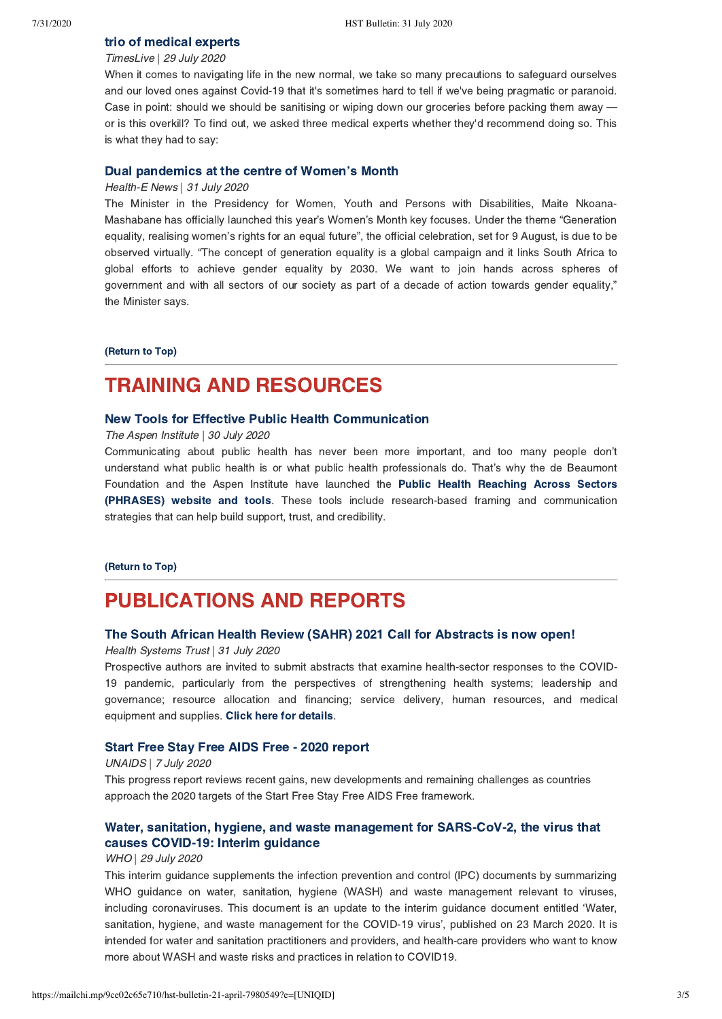## [trio of medical experts](https://www.timeslive.co.za/sunday-times/lifestyle/health-and-sex/2020-07-29-should-i-be-sanitising-my-groceries-to-protect-myself-against-covid-19/)

## TimesLive | 29 July 2020

When it comes to navigating life in the new normal, we take so many precautions to safeguard ourselves and our loved ones against Covid-19 that it's sometimes hard to tell if we've being pragmatic or paranoid. Case in point: should we should be sanitising or wiping down our groceries before packing them away or is this overkill? To find out, we asked three medical experts whether they'd recommend doing so. This is what they had to say:

#### [Dual pandemics at the centre of Women's Month](https://health-e.org.za/2020/07/31/dual-pandemics-at-the-centre-of-womens-month/)

#### Health-E News | 31 July 2020

The Minister in the Presidency for Women, Youth and Persons with Disabilities, Maite Nkoana-Mashabane has officially launched this year's Women's Month key focuses. Under the theme "Generation equality, realising women's rights for an equal future", the official celebration, set for 9 August, is due to be observed virtually. "The concept of generation equality is a global campaign and it links South Africa to global efforts to achieve gender equality by 2030. We want to join hands across spheres of government and with all sectors of our society as part of a decade of action towards gender equality," the Minister says.

#### [\(Return to Top\)](#page-0-1)

## <span id="page-2-0"></span>TRAINING AND RESOURCES

#### [New Tools for Effective Public Health Communication](https://www.aspeninstitute.org/blog-posts/new-tools-for-effective-public-health-communication/)

The Aspen Institute | 30 July 2020

Communicating about public health has never been more important, and too many people don't understand what public health is or what public health professionals do. That's why the de Beaumont Foundation and the Aspen Institute have launched the Public Health Reaching Across Sectors [\(PHRASES\) website and tools. These tools include research-based framing and communication](https://www.phrases.org/) strategies that can help build support, trust, and credibility.

#### [\(Return to Top\)](#page-0-1)

## PUBLICATIONS AND REPORTS

### [The South African Health Review \(SAHR\) 2021 Call for Abstracts is now open!](https://www.hst.org.za/media/Pages/SAHR-2021-Call-for-Abstracts.aspx)

#### Health Systems Trust | 31 July 2020

Prospective authors are invited to submit abstracts that examine health-sector responses to the COVID-19 pandemic, particularly from the perspectives of strengthening health systems; leadership and governance; resource allocation and financing; service delivery, human resources, and medical equipment and supplies. [Click here for details](https://www.hst.org.za/media/Pages/SAHR-2021-Call-for-Abstracts.aspx).

#### [Start Free Stay Free AIDS Free - 2020 report](https://www.unaids.org/sites/default/files/media_asset/start-free-stay-free-aids-free-2020-progress-report_en.pdf)

#### UNAIDS | 7 July 2020

This progress report reviews recent gains, new developments and remaining challenges as countries approach the 2020 targets of the Start Free Stay Free AIDS Free framework.

## [Water, sanitation, hygiene, and waste management for SARS-CoV-2, the virus that](https://www.who.int/publications/i/item/water-sanitation-hygiene-and-waste-management-for-the-covid-19-virus-interim-guidance) causes COVID-19: Interim guidance

#### WHO | 29 July 2020

This interim guidance supplements the infection prevention and control (IPC) documents by summarizing WHO guidance on water, sanitation, hygiene (WASH) and waste management relevant to viruses, including coronaviruses. This document is an update to the interim guidance document entitled 'Water, sanitation, hygiene, and waste management for the COVID-19 virus', published on 23 March 2020. It is intended for water and sanitation practitioners and providers, and health-care providers who want to know more about WASH and waste risks and practices in relation to COVID19.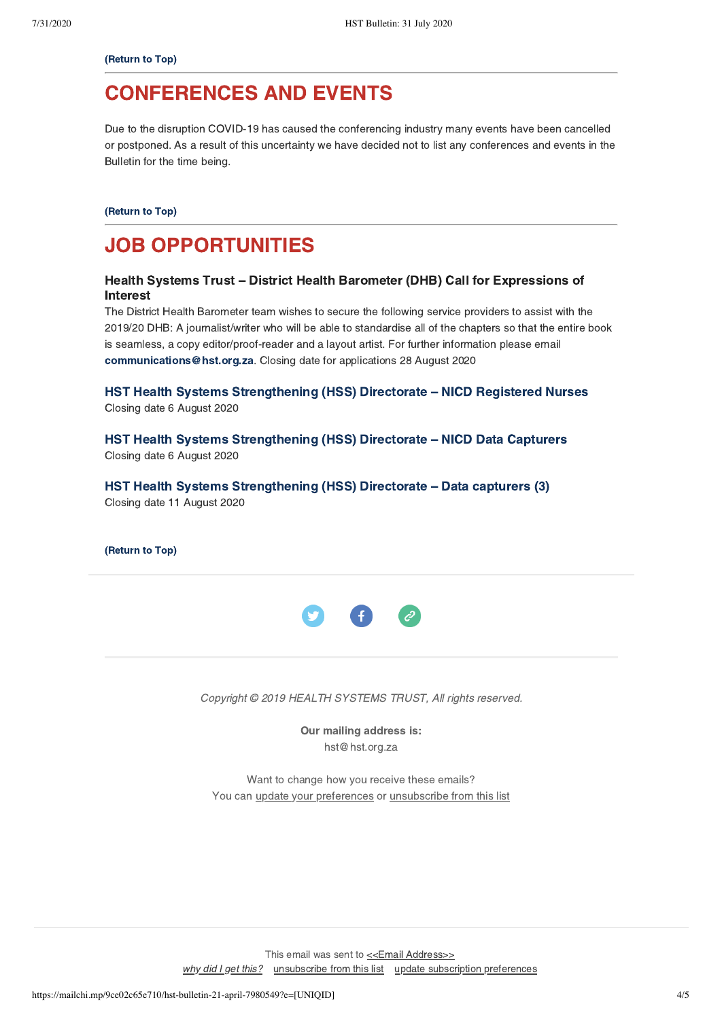#### [\(Return to Top\)](#page-0-1)

## <span id="page-3-0"></span>CONFERENCES AND EVENTS

Due to the disruption COVID-19 has caused the conferencing industry many events have been cancelled or postponed. As a result of this uncertainty we have decided not to list any conferences and events in the Bulletin for the time being.

[\(Return to Top\)](#page-0-1)

# JOB OPPORTUNITIES

## Health Systems Trust – District Health Barometer (DHB) Call for Expressions of Interest

The District Health Barometer team wishes to secure the following service providers to assist with the 2019/20 DHB: A journalist/writer who will be able to standardise all of the chapters so that the entire book is seamless, a copy editor/proof-reader and a layout artist. For further information please email [communications@hst.org.za.](mailto:communications@hst.org.za) Closing date for applications 28 August 2020

[HST Health Systems Strengthening \(HSS\) Directorate – NICD Registered Nurses](https://www.hst.org.za/Pages/NICD-Registered-Nurses.aspx) Closing date 6 August 2020

[HST Health Systems Strengthening \(HSS\) Directorate –](https://www.hst.org.za/Pages/NICD-Data-Capturers.aspx) NICD Data Capturers Closing date 6 August 2020

[HST Health Systems Strengthening \(HSS\) Directorate –](https://www.hst.org.za/Pages/DATA-CAPTURER-(3).aspx) Data capturers (3) Closing date 11 August 2020

[\(Return to Top\)](#page-0-1)



Copyright © 2019 HEALTH SYSTEMS TRUST, All rights reserved.

Our mailing address is: hst@hst.org.za

Want to change how you receive these emails? You can *[update your preferences](https://hst.us14.list-manage.com/profile?u=72d7614ab973e486252cafb97&id=ac4ca52ce0&e=[UNIQID])* or *unsubscribe from this list* 

This email was sent to [<<Email Address>>](mailto:%3C%3CEmail%20Address%3E%3E) [why did I get this?](https://hst.us14.list-manage.com/about?u=72d7614ab973e486252cafb97&id=ac4ca52ce0&e=[UNIQID]&c=191038002f) [unsubscribe from this list](https://hst.us14.list-manage.com/unsubscribe?u=72d7614ab973e486252cafb97&id=ac4ca52ce0&e=[UNIQID]&c=191038002f) [update subscription preferences](https://hst.us14.list-manage.com/profile?u=72d7614ab973e486252cafb97&id=ac4ca52ce0&e=[UNIQID])